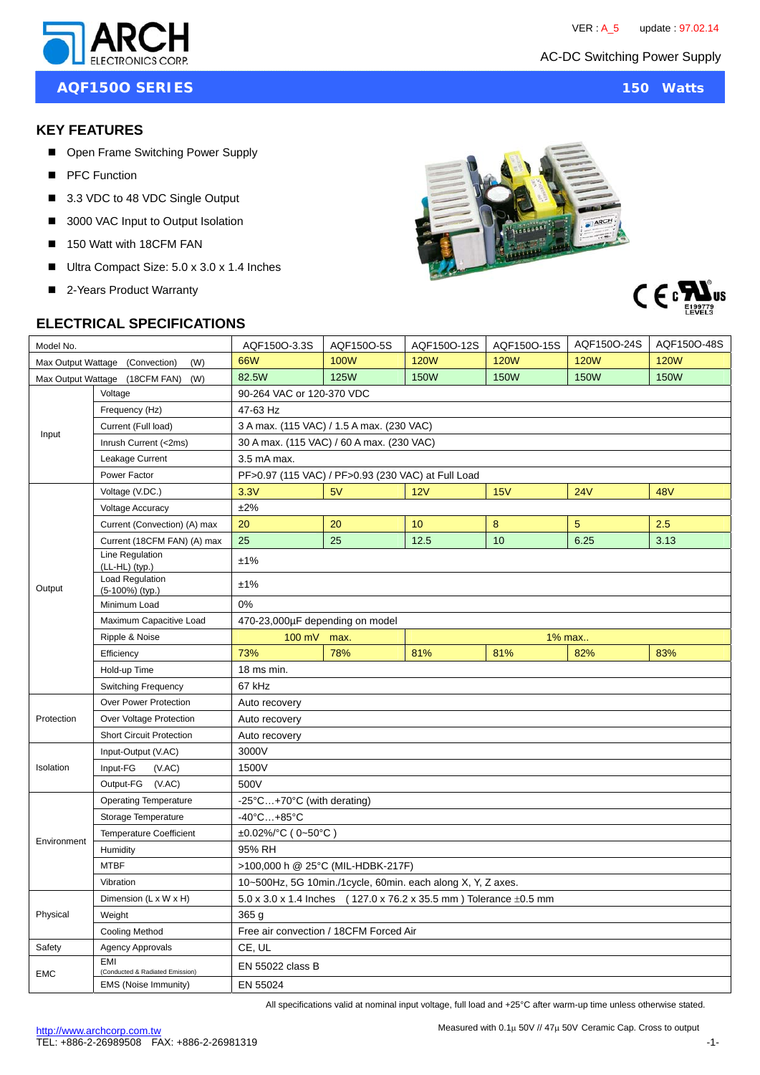AC-DC Switching Power Supply



**AQF150O SERIES** 150 Watts

#### **KEY FEATURES**

- Open Frame Switching Power Supply
- **PFC Function**
- 3.3 VDC to 48 VDC Single Output
- 3000 VAC Input to Output Isolation
- 150 Watt with 18CFM FAN
- Ultra Compact Size: 5.0 x 3.0 x 1.4 Inches
- 2-Years Product Warranty



# **ELECTRICAL SPECIFICATIONS**

| Model No.                              |                                               | AQF150O-3.3S                                                                       | AQF150O-5S  | AQF150O-12S | AQF150O-15S | AQF150O-24S | AQF150O-48S |
|----------------------------------------|-----------------------------------------------|------------------------------------------------------------------------------------|-------------|-------------|-------------|-------------|-------------|
| Max Output Wattage (Convection)<br>(W) |                                               | 66W                                                                                | <b>100W</b> | <b>120W</b> | <b>120W</b> | <b>120W</b> | <b>120W</b> |
| Max Output Wattage (18CFM FAN)<br>(W)  |                                               | 82.5W                                                                              | <b>125W</b> | <b>150W</b> | <b>150W</b> | <b>150W</b> | <b>150W</b> |
| Input                                  | Voltage                                       | 90-264 VAC or 120-370 VDC                                                          |             |             |             |             |             |
|                                        | Frequency (Hz)                                | 47-63 Hz                                                                           |             |             |             |             |             |
|                                        | Current (Full load)                           | 3 A max. (115 VAC) / 1.5 A max. (230 VAC)                                          |             |             |             |             |             |
|                                        | Inrush Current (<2ms)                         | 30 A max. (115 VAC) / 60 A max. (230 VAC)                                          |             |             |             |             |             |
|                                        | Leakage Current                               | 3.5 mA max.                                                                        |             |             |             |             |             |
|                                        | Power Factor                                  | PF>0.97 (115 VAC) / PF>0.93 (230 VAC) at Full Load                                 |             |             |             |             |             |
| Output                                 | Voltage (V.DC.)                               | 3.3V                                                                               | 5V          | 12V         | 15V         | <b>24V</b>  | <b>48V</b>  |
|                                        | <b>Voltage Accuracy</b>                       | ±2%                                                                                |             |             |             |             |             |
|                                        | Current (Convection) (A) max                  | 20                                                                                 | 20          | 10          | 8           | 5           | 2.5         |
|                                        | Current (18CFM FAN) (A) max                   | 25                                                                                 | 25          | 12.5        | 10          | 6.25        | 3.13        |
|                                        | Line Regulation<br>(LL-HL) (typ.)             | ±1%                                                                                |             |             |             |             |             |
|                                        | <b>Load Requlation</b><br>(5-100%) (typ.)     | ±1%                                                                                |             |             |             |             |             |
|                                        | Minimum Load                                  | 0%                                                                                 |             |             |             |             |             |
|                                        | Maximum Capacitive Load                       | 470-23,000µF depending on model                                                    |             |             |             |             |             |
|                                        | Ripple & Noise                                | 100 mV max.<br>1% max                                                              |             |             |             |             |             |
|                                        | Efficiency                                    | 73%                                                                                | 78%         | 81%         | 81%         | 82%         | 83%         |
|                                        | Hold-up Time                                  | 18 ms min.                                                                         |             |             |             |             |             |
|                                        | Switching Frequency                           | 67 kHz                                                                             |             |             |             |             |             |
| Protection                             | Over Power Protection                         | Auto recovery                                                                      |             |             |             |             |             |
|                                        | Over Voltage Protection                       | Auto recovery                                                                      |             |             |             |             |             |
|                                        | <b>Short Circuit Protection</b>               | Auto recovery                                                                      |             |             |             |             |             |
| Isolation                              | Input-Output (V.AC)                           | 3000V                                                                              |             |             |             |             |             |
|                                        | Input-FG<br>(VAC)                             | 1500V                                                                              |             |             |             |             |             |
|                                        | Output-FG (V.AC)                              | 500V                                                                               |             |             |             |             |             |
| Environment                            | <b>Operating Temperature</b>                  | -25°C+70°C (with derating)                                                         |             |             |             |             |             |
|                                        | Storage Temperature                           | $-40^{\circ}$ C +85 $^{\circ}$ C                                                   |             |             |             |             |             |
|                                        | <b>Temperature Coefficient</b>                | ±0.02%/°C (0~50°C)                                                                 |             |             |             |             |             |
|                                        | Humidity                                      | 95% RH                                                                             |             |             |             |             |             |
|                                        | <b>MTBF</b>                                   | >100,000 h @ 25°C (MIL-HDBK-217F)                                                  |             |             |             |             |             |
|                                        | Vibration                                     | 10~500Hz, 5G 10min./1cycle, 60min. each along X, Y, Z axes.                        |             |             |             |             |             |
| Physical                               | Dimension (L x W x H)                         | $5.0 \times 3.0 \times 1.4$ Inches (127.0 x 76.2 x 35.5 mm) Tolerance $\pm 0.5$ mm |             |             |             |             |             |
|                                        | Weight                                        | 365q                                                                               |             |             |             |             |             |
|                                        | Cooling Method                                | Free air convection / 18CFM Forced Air                                             |             |             |             |             |             |
| Safety                                 | <b>Agency Approvals</b>                       | CE, UL                                                                             |             |             |             |             |             |
| <b>EMC</b>                             | <b>EMI</b><br>(Conducted & Radiated Emission) | EN 55022 class B                                                                   |             |             |             |             |             |
|                                        | EMS (Noise Immunity)                          | EN 55024                                                                           |             |             |             |             |             |

All specifications valid at nominal input voltage, full load and +25°C after warm-up time unless otherwise stated.